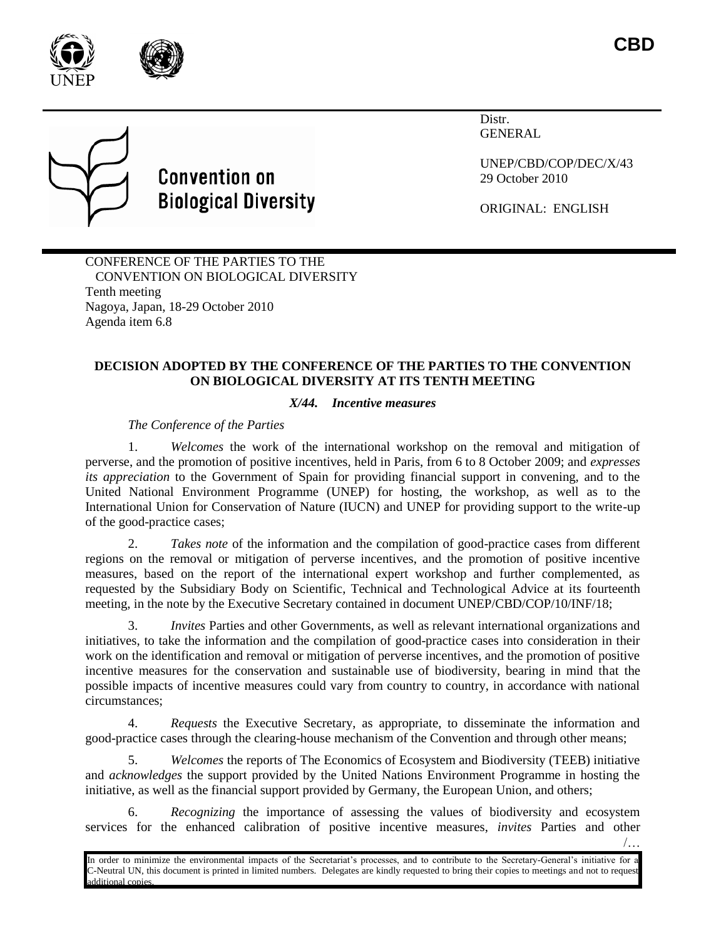



## **Convention on Biological Diversity**

Distr. GENERAL

UNEP/CBD/COP/DEC/X/43 29 October 2010

ORIGINAL: ENGLISH

CONFERENCE OF THE PARTIES TO THE CONVENTION ON BIOLOGICAL DIVERSITY Tenth meeting Nagoya, Japan, 18-29 October 2010 Agenda item 6.8

## **DECISION ADOPTED BY THE CONFERENCE OF THE PARTIES TO THE CONVENTION ON BIOLOGICAL DIVERSITY AT ITS TENTH MEETING**

## *X/44. Incentive measures*

*The Conference of the Parties*

1. *Welcomes* the work of the international workshop on the removal and mitigation of perverse, and the promotion of positive incentives, held in Paris, from 6 to 8 October 2009; and *expresses its appreciation* to the Government of Spain for providing financial support in convening, and to the United National Environment Programme (UNEP) for hosting, the workshop, as well as to the International Union for Conservation of Nature (IUCN) and UNEP for providing support to the write-up of the good-practice cases;

2. *Takes note* of the information and the compilation of good-practice cases from different regions on the removal or mitigation of perverse incentives, and the promotion of positive incentive measures, based on the report of the international expert workshop and further complemented, as requested by the Subsidiary Body on Scientific, Technical and Technological Advice at its fourteenth meeting, in the note by the Executive Secretary contained in document UNEP/CBD/COP/10/INF/18;

3. *Invites* Parties and other Governments, as well as relevant international organizations and initiatives, to take the information and the compilation of good-practice cases into consideration in their work on the identification and removal or mitigation of perverse incentives, and the promotion of positive incentive measures for the conservation and sustainable use of biodiversity, bearing in mind that the possible impacts of incentive measures could vary from country to country, in accordance with national circumstances;

4. *Requests* the Executive Secretary, as appropriate, to disseminate the information and good-practice cases through the clearing-house mechanism of the Convention and through other means;

5. *Welcomes* the reports of The Economics of Ecosystem and Biodiversity (TEEB) initiative and *acknowledges* the support provided by the United Nations Environment Programme in hosting the initiative, as well as the financial support provided by Germany, the European Union, and others;

6. *Recognizing* the importance of assessing the values of biodiversity and ecosystem services for the enhanced calibration of positive incentive measures, *invites* Parties and other

/…

In order to minimize the environmental impacts of the Secretariat's processes, and to contribute to the Secretary-General's initiative for a C-Neutral UN, this document is printed in limited numbers. Delegates are kindly requested to bring their copies to meetings and not to request additional copies.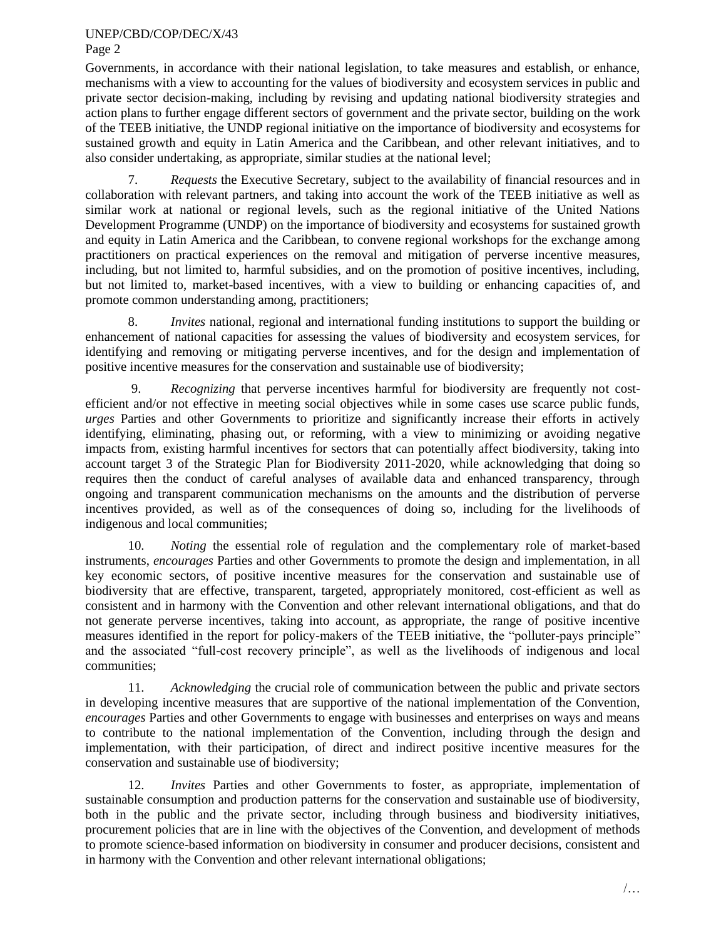## UNEP/CBD/COP/DEC/X/43 Page 2

Governments, in accordance with their national legislation, to take measures and establish, or enhance, mechanisms with a view to accounting for the values of biodiversity and ecosystem services in public and private sector decision-making, including by revising and updating national biodiversity strategies and action plans to further engage different sectors of government and the private sector, building on the work of the TEEB initiative, the UNDP regional initiative on the importance of biodiversity and ecosystems for sustained growth and equity in Latin America and the Caribbean, and other relevant initiatives, and to also consider undertaking, as appropriate, similar studies at the national level;

7. *Requests* the Executive Secretary, subject to the availability of financial resources and in collaboration with relevant partners, and taking into account the work of the TEEB initiative as well as similar work at national or regional levels, such as the regional initiative of the United Nations Development Programme (UNDP) on the importance of biodiversity and ecosystems for sustained growth and equity in Latin America and the Caribbean, to convene regional workshops for the exchange among practitioners on practical experiences on the removal and mitigation of perverse incentive measures, including, but not limited to, harmful subsidies, and on the promotion of positive incentives, including, but not limited to, market-based incentives, with a view to building or enhancing capacities of, and promote common understanding among, practitioners;

8. *Invites* national, regional and international funding institutions to support the building or enhancement of national capacities for assessing the values of biodiversity and ecosystem services, for identifying and removing or mitigating perverse incentives, and for the design and implementation of positive incentive measures for the conservation and sustainable use of biodiversity;

9. *Recognizing* that perverse incentives harmful for biodiversity are frequently not costefficient and/or not effective in meeting social objectives while in some cases use scarce public funds, *urges* Parties and other Governments to prioritize and significantly increase their efforts in actively identifying, eliminating, phasing out, or reforming, with a view to minimizing or avoiding negative impacts from, existing harmful incentives for sectors that can potentially affect biodiversity, taking into account target 3 of the Strategic Plan for Biodiversity 2011-2020, while acknowledging that doing so requires then the conduct of careful analyses of available data and enhanced transparency, through ongoing and transparent communication mechanisms on the amounts and the distribution of perverse incentives provided, as well as of the consequences of doing so, including for the livelihoods of indigenous and local communities;

10. *Noting* the essential role of regulation and the complementary role of market-based instruments, *encourages* Parties and other Governments to promote the design and implementation, in all key economic sectors, of positive incentive measures for the conservation and sustainable use of biodiversity that are effective, transparent, targeted, appropriately monitored, cost-efficient as well as consistent and in harmony with the Convention and other relevant international obligations, and that do not generate perverse incentives, taking into account, as appropriate, the range of positive incentive measures identified in the report for policy-makers of the TEEB initiative, the "polluter-pays principle" and the associated "full-cost recovery principle", as well as the livelihoods of indigenous and local communities;

11. *Acknowledging* the crucial role of communication between the public and private sectors in developing incentive measures that are supportive of the national implementation of the Convention, *encourages* Parties and other Governments to engage with businesses and enterprises on ways and means to contribute to the national implementation of the Convention, including through the design and implementation, with their participation, of direct and indirect positive incentive measures for the conservation and sustainable use of biodiversity;

12. *Invites* Parties and other Governments to foster, as appropriate, implementation of sustainable consumption and production patterns for the conservation and sustainable use of biodiversity, both in the public and the private sector, including through business and biodiversity initiatives, procurement policies that are in line with the objectives of the Convention, and development of methods to promote science-based information on biodiversity in consumer and producer decisions, consistent and in harmony with the Convention and other relevant international obligations;